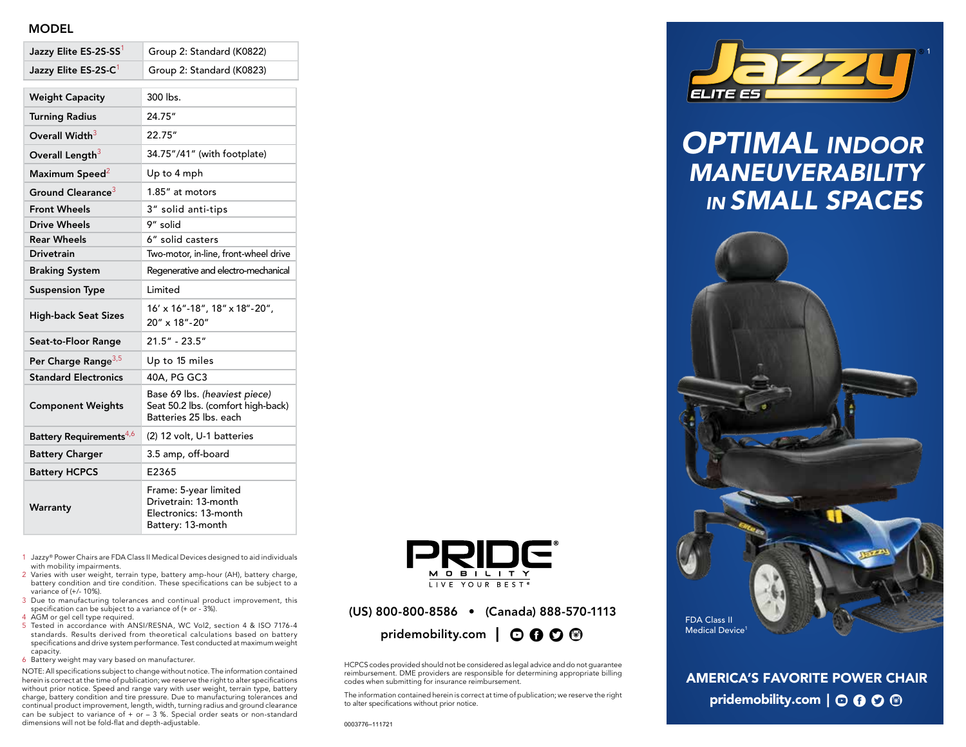## MODEL

| Jazzy Elite ES-2S-SS1               | Group 2: Standard (K0822)                                                                     |
|-------------------------------------|-----------------------------------------------------------------------------------------------|
| Jazzy Elite ES-2S-C <sup>1</sup>    | Group 2: Standard (K0823)                                                                     |
| <b>Weight Capacity</b>              | 300 lbs.                                                                                      |
| <b>Turning Radius</b>               | 24.75"                                                                                        |
| Overall Width <sup>3</sup>          | 22.75"                                                                                        |
| Overall Length <sup>3</sup>         | 34.75"/41" (with footplate)                                                                   |
| Maximum Speed <sup>2</sup>          | Up to 4 mph                                                                                   |
| Ground Clearance <sup>3</sup>       | 1.85" at motors                                                                               |
| <b>Front Wheels</b>                 | 3" solid anti-tips                                                                            |
| <b>Drive Wheels</b>                 | 9" solid                                                                                      |
| <b>Rear Wheels</b>                  | 6" solid casters                                                                              |
| <b>Drivetrain</b>                   | Two-motor, in-line, front-wheel drive                                                         |
| <b>Braking System</b>               | Regenerative and electro-mechanical                                                           |
| <b>Suspension Type</b>              | Limited                                                                                       |
| <b>High-back Seat Sizes</b>         | 16' x 16"-18", 18" x 18"-20",<br>20" x 18"-20"                                                |
| Seat-to-Floor Range                 | $21.5" - 23.5"$                                                                               |
| Per Charge Range <sup>3,5</sup>     | Up to 15 miles                                                                                |
| <b>Standard Electronics</b>         | 40A, PG GC3                                                                                   |
| <b>Component Weights</b>            | Base 69 lbs. (heaviest piece)<br>Seat 50.2 lbs. (comfort high-back)<br>Batteries 25 lbs. each |
| Battery Requirements <sup>4,6</sup> | (2) 12 volt, U-1 batteries                                                                    |
| <b>Battery Charger</b>              | 3.5 amp, off-board                                                                            |
| <b>Battery HCPCS</b>                | E2365                                                                                         |
| Warranty                            | Frame: 5-year limited<br>Drivetrain: 13-month<br>Electronics: 13-month<br>Battery: 13-month   |

- 1 Jazzy® Power Chairs are FDA Class II Medical Devices designed to aid individuals with mobility impairments.
- 2 Varies with user weight, terrain type, battery amp-hour (AH), battery charge, battery condition and tire condition. These specifications can be subject to a variance of (+/- 10%).
- 3 Due to manufacturing tolerances and continual product improvement, this specification can be subject to a variance of (+ or - 3%).
- 4 AGM or gel cell type required.
- 5 Tested in accordance with ANSI/RESNA, WC Vol2, section 4 & ISO 7176-4 standards. Results derived from theoretical calculations based on battery specifications and drive system performance. Test conducted at maximum weight capacity.
- 6 Battery weight may vary based on manufacturer.

NOTE: All specifications subject to change without notice. The information contained herein is correct at the time of publication; we reserve the right to alter specifications without prior notice. Speed and range vary with user weight, terrain type, battery charge, battery condition and tire pressure. Due to manufacturing tolerances and continual product improvement, length, width, turning radius and ground clearance can be subject to variance of  $+$  or  $-$  3 %. Special order seats or non-standard dimensions will not be fold-flat and depth-adjustable.



(US) 800-800-8586 • (Canada) 888-570-1113 pridemobility.com  $\Box$   $\odot$   $\odot$   $\odot$   $\odot$ 

HCPCS codes provided should not be considered as legal advice and do not guarantee reimbursement. DME providers are responsible for determining appropriate billing codes when submitting for insurance reimbursement.

The information contained herein is correct at time of publication; we reserve the right to alter specifications without prior notice.



## *OPTIMAL INDOOR MANEUVERABILITY IN SMALL SPACES*



AMERICA'S FAVORITE POWER CHAIR pridemobility.com  $\vert \odot \mathbf{0} \odot \mathbf{\odot}$